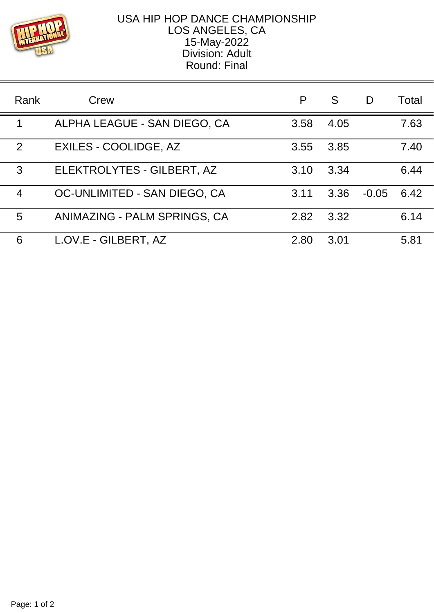

## USA HIP HOP DANCE CHAMPIONSHIP LOS ANGELES, CA 15-May-2022 Division: Adult Round: Final

| Rank | Crew                         | P    | S    | D       | Total |
|------|------------------------------|------|------|---------|-------|
| 1    | ALPHA LEAGUE - SAN DIEGO, CA | 3.58 | 4.05 |         | 7.63  |
| 2    | EXILES - COOLIDGE, AZ        | 3.55 | 3.85 |         | 7.40  |
| 3    | ELEKTROLYTES - GILBERT, AZ   | 3.10 | 3.34 |         | 6.44  |
| 4    | OC-UNLIMITED - SAN DIEGO, CA | 3.11 | 3.36 | $-0.05$ | 6.42  |
| 5    | ANIMAZING - PALM SPRINGS, CA | 2.82 | 3.32 |         | 6.14  |
| 6    | L.OV.E - GILBERT, AZ         | 2.80 | 3.01 |         | 5.81  |